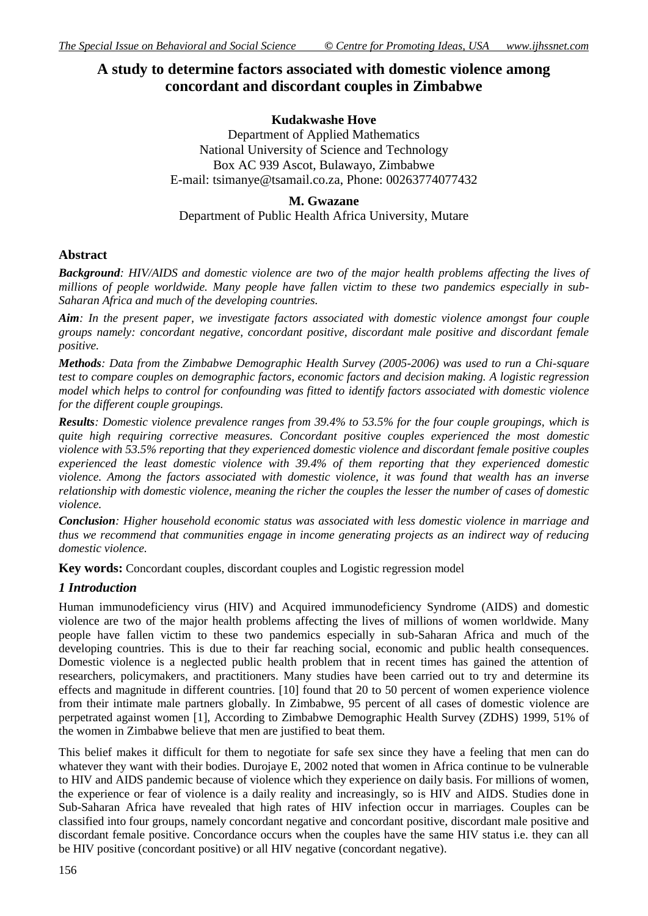# **A study to determine factors associated with domestic violence among concordant and discordant couples in Zimbabwe**

#### **Kudakwashe Hove**

Department of Applied Mathematics National University of Science and Technology Box AC 939 Ascot, Bulawayo, Zimbabwe E-mail: [tsimanye@tsamail.co.za,](mailto:tsimanye@tsamail.co.za) Phone: 00263774077432

#### **M. Gwazane**

Department of Public Health Africa University, Mutare

# **Abstract**

*Background: HIV/AIDS and domestic violence are two of the major health problems affecting the lives of millions of people worldwide. Many people have fallen victim to these two pandemics especially in sub-Saharan Africa and much of the developing countries.*

*Aim: In the present paper, we investigate factors associated with domestic violence amongst four couple groups namely: concordant negative, concordant positive, discordant male positive and discordant female positive.*

*Methods: Data from the Zimbabwe Demographic Health Survey (2005-2006) was used to run a Chi-square test to compare couples on demographic factors, economic factors and decision making. A logistic regression model which helps to control for confounding was fitted to identify factors associated with domestic violence for the different couple groupings.*

*Results: Domestic violence prevalence ranges from 39.4% to 53.5% for the four couple groupings, which is quite high requiring corrective measures. Concordant positive couples experienced the most domestic violence with 53.5% reporting that they experienced domestic violence and discordant female positive couples experienced the least domestic violence with 39.4% of them reporting that they experienced domestic violence. Among the factors associated with domestic violence, it was found that wealth has an inverse relationship with domestic violence, meaning the richer the couples the lesser the number of cases of domestic violence.* 

*Conclusion: Higher household economic status was associated with less domestic violence in marriage and thus we recommend that communities engage in income generating projects as an indirect way of reducing domestic violence.*

**Key words:** Concordant couples, discordant couples and Logistic regression model

# *1 Introduction*

Human immunodeficiency virus (HIV) and Acquired immunodeficiency Syndrome (AIDS) and domestic violence are two of the major health problems affecting the lives of millions of women worldwide. Many people have fallen victim to these two pandemics especially in sub-Saharan Africa and much of the developing countries. This is due to their far reaching social, economic and public health consequences. Domestic violence is a neglected public health problem that in recent times has gained the attention of researchers, policymakers, and practitioners. Many studies have been carried out to try and determine its effects and magnitude in different countries. [10] found that 20 to 50 percent of women experience violence from their intimate male partners globally. In Zimbabwe, 95 percent of all cases of domestic violence are perpetrated against women [1], According to Zimbabwe Demographic Health Survey (ZDHS) 1999, 51% of the women in Zimbabwe believe that men are justified to beat them.

This belief makes it difficult for them to negotiate for safe sex since they have a feeling that men can do whatever they want with their bodies. Durojaye E, 2002 noted that women in Africa continue to be vulnerable to HIV and AIDS pandemic because of violence which they experience on daily basis. For millions of women, the experience or fear of violence is a daily reality and increasingly, so is HIV and AIDS. Studies done in Sub-Saharan Africa have revealed that high rates of HIV infection occur in marriages. Couples can be classified into four groups, namely concordant negative and concordant positive, discordant male positive and discordant female positive. Concordance occurs when the couples have the same HIV status i.e. they can all be HIV positive (concordant positive) or all HIV negative (concordant negative).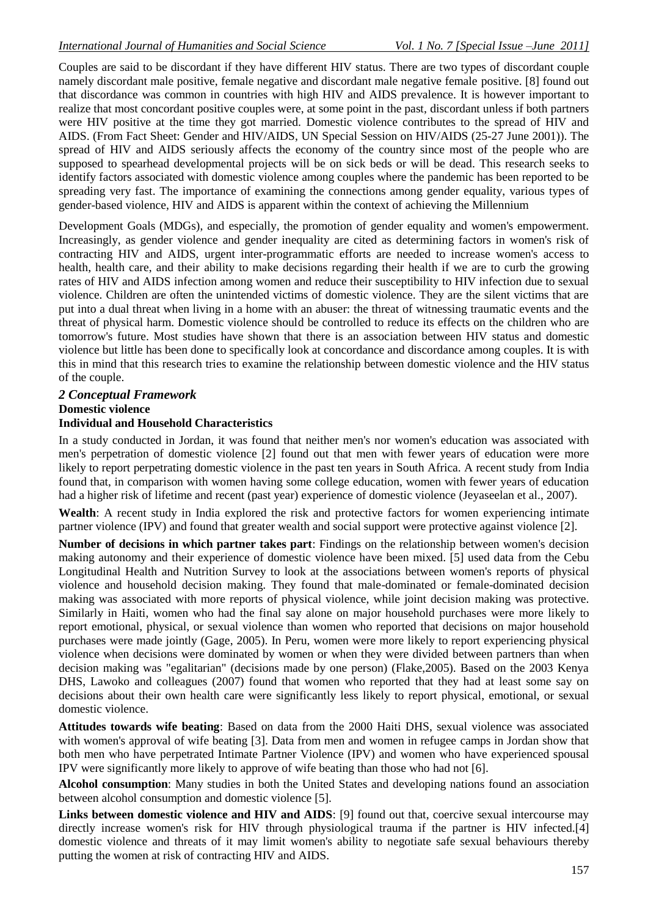Couples are said to be discordant if they have different HIV status. There are two types of discordant couple namely discordant male positive, female negative and discordant male negative female positive. [8] found out that discordance was common in countries with high HIV and AIDS prevalence. It is however important to realize that most concordant positive couples were, at some point in the past, discordant unless if both partners were HIV positive at the time they got married. Domestic violence contributes to the spread of HIV and AIDS. (From Fact Sheet: Gender and HIV/AIDS, UN Special Session on HIV/AIDS (25-27 June 2001)). The spread of HIV and AIDS seriously affects the economy of the country since most of the people who are supposed to spearhead developmental projects will be on sick beds or will be dead. This research seeks to identify factors associated with domestic violence among couples where the pandemic has been reported to be spreading very fast. The importance of examining the connections among gender equality, various types of gender-based violence, HIV and AIDS is apparent within the context of achieving the Millennium

Development Goals (MDGs), and especially, the promotion of gender equality and women's empowerment. Increasingly, as gender violence and gender inequality are cited as determining factors in women's risk of contracting HIV and AIDS, urgent inter-programmatic efforts are needed to increase women's access to health, health care, and their ability to make decisions regarding their health if we are to curb the growing rates of HIV and AIDS infection among women and reduce their susceptibility to HIV infection due to sexual violence. Children are often the unintended victims of domestic violence. They are the silent victims that are put into a dual threat when living in a home with an abuser: the threat of witnessing traumatic events and the threat of physical harm. Domestic violence should be controlled to reduce its effects on the children who are tomorrow's future. Most studies have shown that there is an association between HIV status and domestic violence but little has been done to specifically look at concordance and discordance among couples. It is with this in mind that this research tries to examine the relationship between domestic violence and the HIV status of the couple.

# *2 Conceptual Framework*

# **Domestic violence**

# **Individual and Household Characteristics**

In a study conducted in Jordan, it was found that neither men's nor women's education was associated with men's perpetration of domestic violence [2] found out that men with fewer years of education were more likely to report perpetrating domestic violence in the past ten years in South Africa. A recent study from India found that, in comparison with women having some college education, women with fewer years of education had a higher risk of lifetime and recent (past year) experience of domestic violence (Jeyaseelan et al., 2007).

**Wealth**: A recent study in India explored the risk and protective factors for women experiencing intimate partner violence (IPV) and found that greater wealth and social support were protective against violence [2].

**Number of decisions in which partner takes part**: Findings on the relationship between women's decision making autonomy and their experience of domestic violence have been mixed. [5] used data from the Cebu Longitudinal Health and Nutrition Survey to look at the associations between women's reports of physical violence and household decision making. They found that male-dominated or female-dominated decision making was associated with more reports of physical violence, while joint decision making was protective. Similarly in Haiti, women who had the final say alone on major household purchases were more likely to report emotional, physical, or sexual violence than women who reported that decisions on major household purchases were made jointly (Gage, 2005). In Peru, women were more likely to report experiencing physical violence when decisions were dominated by women or when they were divided between partners than when decision making was "egalitarian" (decisions made by one person) (Flake,2005). Based on the 2003 Kenya DHS, Lawoko and colleagues (2007) found that women who reported that they had at least some say on decisions about their own health care were significantly less likely to report physical, emotional, or sexual domestic violence.

**Attitudes towards wife beating**: Based on data from the 2000 Haiti DHS, sexual violence was associated with women's approval of wife beating [3]. Data from men and women in refugee camps in Jordan show that both men who have perpetrated Intimate Partner Violence (IPV) and women who have experienced spousal IPV were significantly more likely to approve of wife beating than those who had not [6].

**Alcohol consumption**: Many studies in both the United States and developing nations found an association between alcohol consumption and domestic violence [5].

**Links between domestic violence and HIV and AIDS**: [9] found out that, coercive sexual intercourse may directly increase women's risk for HIV through physiological trauma if the partner is HIV infected.[4] domestic violence and threats of it may limit women's ability to negotiate safe sexual behaviours thereby putting the women at risk of contracting HIV and AIDS.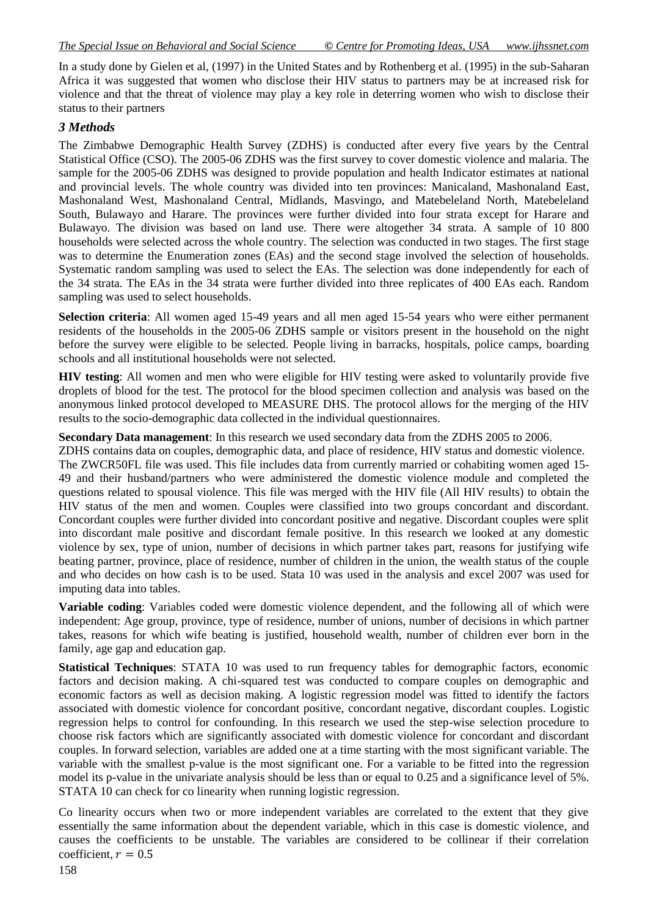In a study done by Gielen et al, (1997) in the United States and by Rothenberg et al. (1995) in the sub-Saharan Africa it was suggested that women who disclose their HIV status to partners may be at increased risk for violence and that the threat of violence may play a key role in deterring women who wish to disclose their status to their partners

#### *3 Methods*

The Zimbabwe Demographic Health Survey (ZDHS) is conducted after every five years by the Central Statistical Office (CSO). The 2005-06 ZDHS was the first survey to cover domestic violence and malaria. The sample for the 2005-06 ZDHS was designed to provide population and health Indicator estimates at national and provincial levels. The whole country was divided into ten provinces: Manicaland, Mashonaland East, Mashonaland West, Mashonaland Central, Midlands, Masvingo, and Matebeleland North, Matebeleland South, Bulawayo and Harare. The provinces were further divided into four strata except for Harare and Bulawayo. The division was based on land use. There were altogether 34 strata. A sample of 10 800 households were selected across the whole country. The selection was conducted in two stages. The first stage was to determine the Enumeration zones (EAs) and the second stage involved the selection of households. Systematic random sampling was used to select the EAs. The selection was done independently for each of the 34 strata. The EAs in the 34 strata were further divided into three replicates of 400 EAs each. Random sampling was used to select households.

**Selection criteria**: All women aged 15-49 years and all men aged 15-54 years who were either permanent residents of the households in the 2005-06 ZDHS sample or visitors present in the household on the night before the survey were eligible to be selected. People living in barracks, hospitals, police camps, boarding schools and all institutional households were not selected.

**HIV testing**: All women and men who were eligible for HIV testing were asked to voluntarily provide five droplets of blood for the test. The protocol for the blood specimen collection and analysis was based on the anonymous linked protocol developed to MEASURE DHS. The protocol allows for the merging of the HIV results to the socio-demographic data collected in the individual questionnaires.

**Secondary Data management**: In this research we used secondary data from the ZDHS 2005 to 2006.

ZDHS contains data on couples, demographic data, and place of residence, HIV status and domestic violence. The ZWCR50FL file was used. This file includes data from currently married or cohabiting women aged 15- 49 and their husband/partners who were administered the domestic violence module and completed the questions related to spousal violence. This file was merged with the HIV file (All HIV results) to obtain the HIV status of the men and women. Couples were classified into two groups concordant and discordant. Concordant couples were further divided into concordant positive and negative. Discordant couples were split into discordant male positive and discordant female positive. In this research we looked at any domestic violence by sex, type of union, number of decisions in which partner takes part, reasons for justifying wife beating partner, province, place of residence, number of children in the union, the wealth status of the couple and who decides on how cash is to be used. Stata 10 was used in the analysis and excel 2007 was used for imputing data into tables.

**Variable coding**: Variables coded were domestic violence dependent, and the following all of which were independent: Age group, province, type of residence, number of unions, number of decisions in which partner takes, reasons for which wife beating is justified, household wealth, number of children ever born in the family, age gap and education gap.

**Statistical Techniques**: STATA 10 was used to run frequency tables for demographic factors, economic factors and decision making. A chi-squared test was conducted to compare couples on demographic and economic factors as well as decision making. A logistic regression model was fitted to identify the factors associated with domestic violence for concordant positive, concordant negative, discordant couples. Logistic regression helps to control for confounding. In this research we used the step-wise selection procedure to choose risk factors which are significantly associated with domestic violence for concordant and discordant couples. In forward selection, variables are added one at a time starting with the most significant variable. The variable with the smallest p-value is the most significant one. For a variable to be fitted into the regression model its p-value in the univariate analysis should be less than or equal to 0.25 and a significance level of 5%. STATA 10 can check for co linearity when running logistic regression.

Co linearity occurs when two or more independent variables are correlated to the extent that they give essentially the same information about the dependent variable, which in this case is domestic violence, and causes the coefficients to be unstable. The variables are considered to be collinear if their correlation coefficient,  $r = 0.5$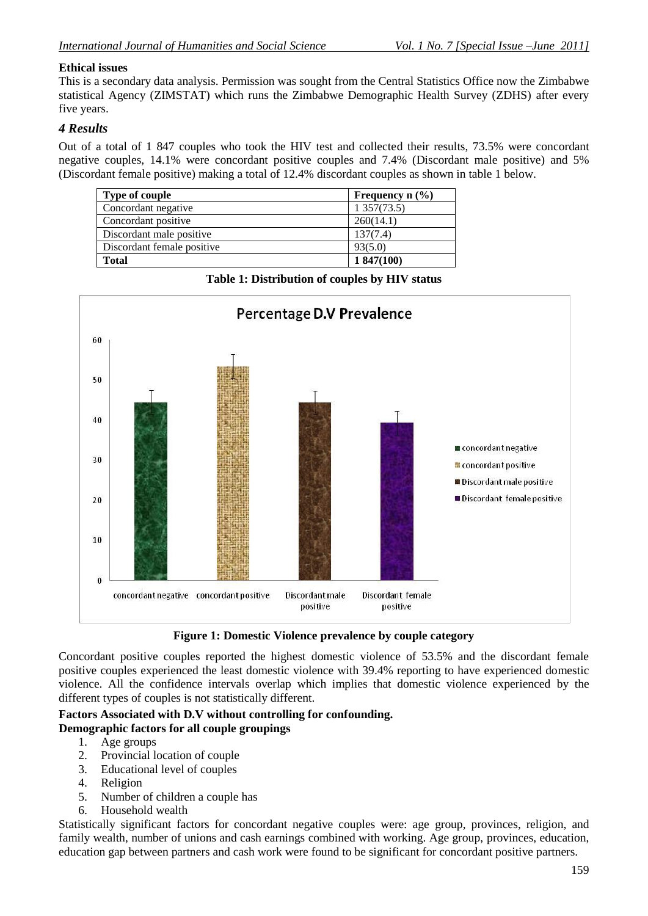### **Ethical issues**

This is a secondary data analysis. Permission was sought from the Central Statistics Office now the Zimbabwe statistical Agency (ZIMSTAT) which runs the Zimbabwe Demographic Health Survey (ZDHS) after every five years.

# *4 Results*

Out of a total of 1 847 couples who took the HIV test and collected their results, 73.5% were concordant negative couples, 14.1% were concordant positive couples and 7.4% (Discordant male positive) and 5% (Discordant female positive) making a total of 12.4% discordant couples as shown in table 1 below.

| <b>Type of couple</b>      | Frequency $n$ (%) |
|----------------------------|-------------------|
| Concordant negative        | 1 357(73.5)       |
| Concordant positive        | 260(14.1)         |
| Discordant male positive   | 137(7.4)          |
| Discordant female positive | 93(5.0)           |
| <b>Total</b>               | 1847(100)         |

Percentage D.V Prevalence 60 50 40 concordant negative 30 concordant positive Discordant male positive Discordant female positive 20  $10$  $\theta$ concordant negative concordant positive Discordant male **Discordant female** positive positive

**Table 1: Distribution of couples by HIV status**

**Figure 1: Domestic Violence prevalence by couple category**

Concordant positive couples reported the highest domestic violence of 53.5% and the discordant female positive couples experienced the least domestic violence with 39.4% reporting to have experienced domestic violence. All the confidence intervals overlap which implies that domestic violence experienced by the different types of couples is not statistically different.

# **Factors Associated with D.V without controlling for confounding.**

# **Demographic factors for all couple groupings**

- 1. Age groups
- 2. Provincial location of couple
- 3. Educational level of couples
- 4. Religion
- 5. Number of children a couple has
- 6. Household wealth

Statistically significant factors for concordant negative couples were: age group, provinces, religion, and family wealth, number of unions and cash earnings combined with working. Age group, provinces, education, education gap between partners and cash work were found to be significant for concordant positive partners.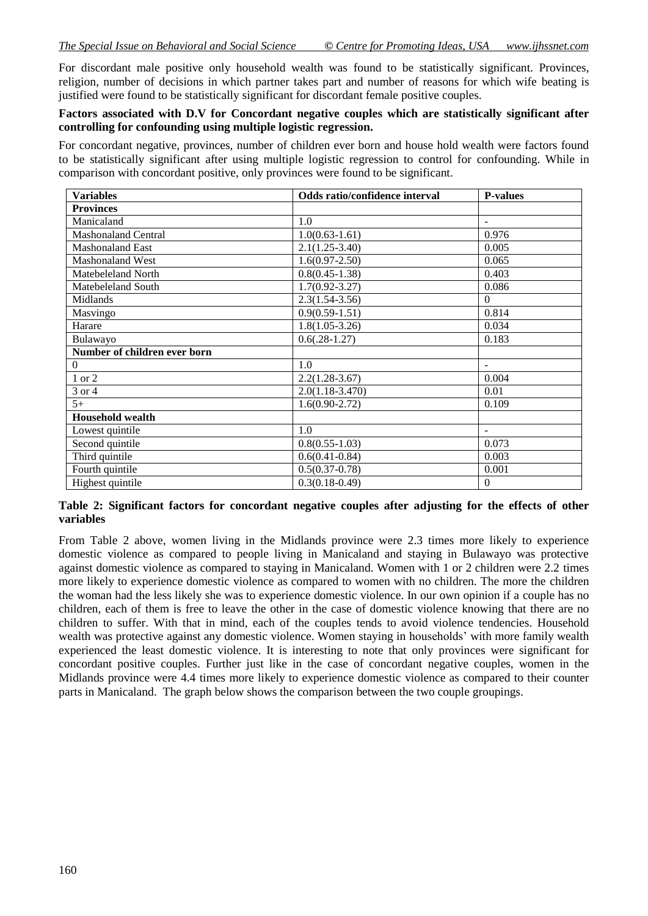For discordant male positive only household wealth was found to be statistically significant. Provinces, religion, number of decisions in which partner takes part and number of reasons for which wife beating is justified were found to be statistically significant for discordant female positive couples.

#### **Factors associated with D.V for Concordant negative couples which are statistically significant after controlling for confounding using multiple logistic regression.**

For concordant negative, provinces, number of children ever born and house hold wealth were factors found to be statistically significant after using multiple logistic regression to control for confounding. While in comparison with concordant positive, only provinces were found to be significant.

| <b>Variables</b>             | Odds ratio/confidence interval | <b>P-values</b>          |
|------------------------------|--------------------------------|--------------------------|
| <b>Provinces</b>             |                                |                          |
| Manicaland                   | 1.0                            | $\blacksquare$           |
| <b>Mashonaland Central</b>   | $1.0(0.63-1.61)$               | 0.976                    |
| <b>Mashonaland East</b>      | $2.1(1.25-3.40)$               | 0.005                    |
| Mashonaland West             | $1.6(0.97 - 2.50)$             | 0.065                    |
| Matebeleland North           | $0.8(0.45-1.38)$               | 0.403                    |
| Matebeleland South           | $1.7(0.92 - 3.27)$             | 0.086                    |
| Midlands                     | $2.3(1.54-3.56)$               | $\Omega$                 |
| Masvingo                     | $0.9(0.59-1.51)$               | 0.814                    |
| Harare                       | $1.8(1.05-3.26)$               | 0.034                    |
| Bulawayo                     | $0.6(.28-1.27)$                | 0.183                    |
| Number of children ever born |                                |                          |
| $\boldsymbol{0}$             | 1.0                            |                          |
| 1 or 2                       | $2.2(1.28-3.67)$               | 0.004                    |
| 3 or 4                       | $2.0(1.18-3.470)$              | 0.01                     |
| $5+$                         | $1.6(0.90-2.72)$               | 0.109                    |
| <b>Household wealth</b>      |                                |                          |
| Lowest quintile              | 1.0                            | $\overline{\phantom{a}}$ |
| Second quintile              | $0.8(0.55-1.03)$               | 0.073                    |
| Third quintile               | $0.6(0.41 - 0.84)$             | 0.003                    |
| Fourth quintile              | $0.5(0.37-0.78)$               | 0.001                    |
| Highest quintile             | $0.3(0.18-0.49)$               | $\Omega$                 |

#### **Table 2: Significant factors for concordant negative couples after adjusting for the effects of other variables**

From Table 2 above, women living in the Midlands province were 2.3 times more likely to experience domestic violence as compared to people living in Manicaland and staying in Bulawayo was protective against domestic violence as compared to staying in Manicaland. Women with 1 or 2 children were 2.2 times more likely to experience domestic violence as compared to women with no children. The more the children the woman had the less likely she was to experience domestic violence. In our own opinion if a couple has no children, each of them is free to leave the other in the case of domestic violence knowing that there are no children to suffer. With that in mind, each of the couples tends to avoid violence tendencies. Household wealth was protective against any domestic violence. Women staying in households' with more family wealth experienced the least domestic violence. It is interesting to note that only provinces were significant for concordant positive couples. Further just like in the case of concordant negative couples, women in the Midlands province were 4.4 times more likely to experience domestic violence as compared to their counter parts in Manicaland. The graph below shows the comparison between the two couple groupings.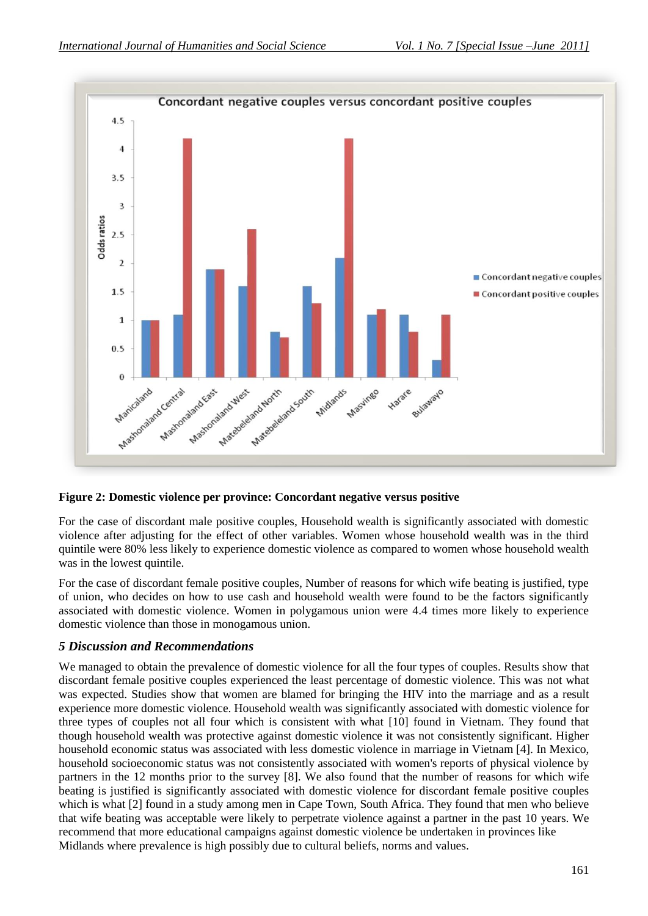

#### **Figure 2: Domestic violence per province: Concordant negative versus positive**

For the case of discordant male positive couples, Household wealth is significantly associated with domestic violence after adjusting for the effect of other variables. Women whose household wealth was in the third quintile were 80% less likely to experience domestic violence as compared to women whose household wealth was in the lowest quintile.

For the case of discordant female positive couples, Number of reasons for which wife beating is justified, type of union, who decides on how to use cash and household wealth were found to be the factors significantly associated with domestic violence. Women in polygamous union were 4.4 times more likely to experience domestic violence than those in monogamous union.

#### *5 Discussion and Recommendations*

We managed to obtain the prevalence of domestic violence for all the four types of couples. Results show that discordant female positive couples experienced the least percentage of domestic violence. This was not what was expected. Studies show that women are blamed for bringing the HIV into the marriage and as a result experience more domestic violence. Household wealth was significantly associated with domestic violence for three types of couples not all four which is consistent with what [10] found in Vietnam. They found that though household wealth was protective against domestic violence it was not consistently significant. Higher household economic status was associated with less domestic violence in marriage in Vietnam [4]. In Mexico, household socioeconomic status was not consistently associated with women's reports of physical violence by partners in the 12 months prior to the survey [8]. We also found that the number of reasons for which wife beating is justified is significantly associated with domestic violence for discordant female positive couples which is what [2] found in a study among men in Cape Town, South Africa. They found that men who believe that wife beating was acceptable were likely to perpetrate violence against a partner in the past 10 years. We recommend that more educational campaigns against domestic violence be undertaken in provinces like Midlands where prevalence is high possibly due to cultural beliefs, norms and values.